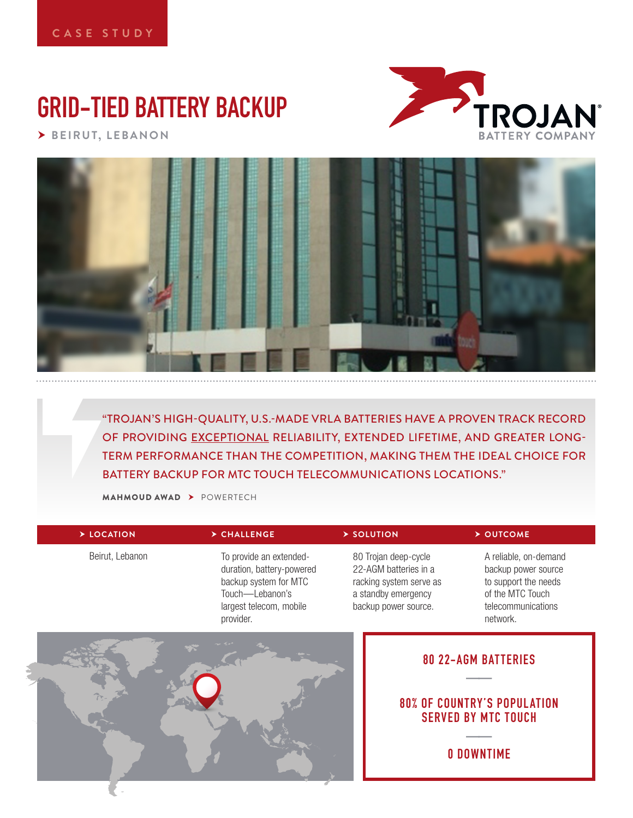# **GRID-TIED BATTERY BACKUP**

 **BEIRUT, LEBANON**





"TROJAN'S HIGH-QUALITY, U.S.-MADE VRLA BATTERIES HAVE A PROVEN TRACK RECORD OF PROVIDING EXCEPTIONAL RELIABILITY, EXTENDED LIFETIME, AND GREATER LONG-TERM PERFORMANCE THAN THE COMPETITION, MAKING THEM THE IDEAL CHOICE FOR BATTERY BACKUP FOR MTC TOUCH TELECOMMUNICATIONS LOCATIONS."

MAHMOUD AWAD POWERTECH

| > LOCATION      | $\triangleright$ CHALLENGE                                                                                                               | > SOLUTION                                                                                                              | > OUTCOME                                                                                                                  |  |
|-----------------|------------------------------------------------------------------------------------------------------------------------------------------|-------------------------------------------------------------------------------------------------------------------------|----------------------------------------------------------------------------------------------------------------------------|--|
| Beirut, Lebanon | To provide an extended-<br>duration, battery-powered<br>backup system for MTC<br>Touch-Lebanon's<br>largest telecom, mobile<br>provider. | 80 Trojan deep-cycle<br>22-AGM batteries in a<br>racking system serve as<br>a standby emergency<br>backup power source. | A reliable, on-demand<br>backup power source<br>to support the needs<br>of the MTC Touch<br>telecommunications<br>network. |  |
|                 |                                                                                                                                          |                                                                                                                         | <b>80 22-AGM BATTERIES</b>                                                                                                 |  |

# **80% OF COUNTRY'S POPUL ATION SERVED BY MTC TOUCH**

**—— 0 DOWNTIME**